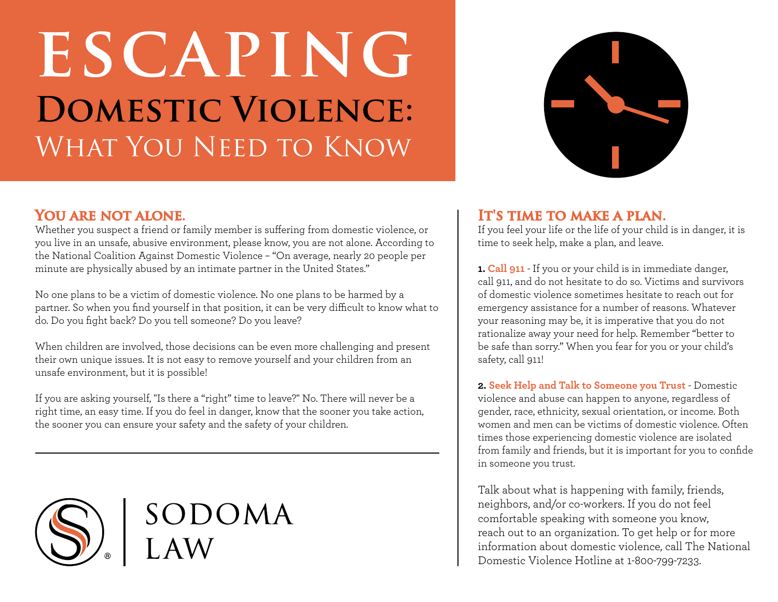## **escaping Domestic Violence:** WHAT YOU NEED TO KNOW



### YOU ARE NOT ALONE.

Whether you suspect a friend or family member is suffering from domestic violence, or you live in an unsafe, abusive environment, please know, you are not alone. According to the National Coalition Against Domestic Violence – "On average, nearly 20 people per minute are physically abused by an intimate partner in the United States."

No one plans to be a victim of domestic violence. No one plans to be harmed by a partner. So when you find yourself in that position, it can be very difficult to know what to do. Do you fight back? Do you tell someone? Do you leave?

When children are involved, those decisions can be even more challenging and present their own unique issues. It is not easy to remove yourself and your children from an unsafe environment, but it is possible!

If you are asking yourself, "Is there a "right" time to leave?" No. There will never be a right time, an easy time. If you do feel in danger, know that the sooner you take action, the sooner you can ensure your safety and the safety of your children.



# SODOMA

### **IT'S TIME TO MAKE A PLAN.**

If you feel your life or the life of your child is in danger, it is time to seek help, make a plan, and leave.

**1. Call 911** - If you or your child is in immediate danger, call 911, and do not hesitate to do so. Victims and survivors of domestic violence sometimes hesitate to reach out for emergency assistance for a number of reasons. Whatever your reasoning may be, it is imperative that you do not rationalize away your need for help. Remember "better to be safe than sorry." When you fear for you or your child's safety, call 911!

**2. Seek Help and Talk to Someone you Trust** - Domestic violence and abuse can happen to anyone, regardless of gender, race, ethnicity, sexual orientation, or income. Both women and men can be victims of domestic violence. Often times those experiencing domestic violence are isolated from family and friends, but it is important for you to confide in someone you trust.

Talk about what is happening with family, friends, neighbors, and/or co-workers. If you do not feel comfortable speaking with someone you know, reach out to an organization. To get help or for more information about domestic violence, call The National Domestic Violence Hotline at 1-800-799-7233.